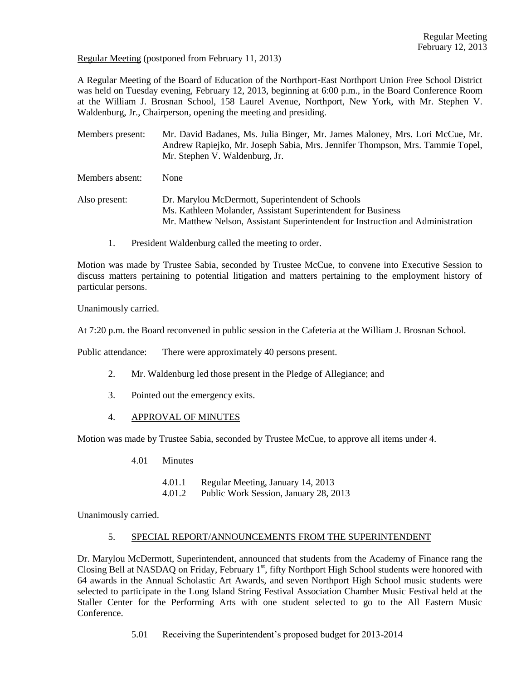Regular Meeting (postponed from February 11, 2013)

A Regular Meeting of the Board of Education of the Northport-East Northport Union Free School District was held on Tuesday evening, February 12, 2013, beginning at 6:00 p.m., in the Board Conference Room at the William J. Brosnan School, 158 Laurel Avenue, Northport, New York, with Mr. Stephen V. Waldenburg, Jr., Chairperson, opening the meeting and presiding.

Members present: Mr. David Badanes, Ms. Julia Binger, Mr. James Maloney, Mrs. Lori McCue, Mr. Andrew Rapiejko, Mr. Joseph Sabia, Mrs. Jennifer Thompson, Mrs. Tammie Topel, Mr. Stephen V. Waldenburg, Jr.

Members absent: None

Also present: Dr. Marylou McDermott, Superintendent of Schools Ms. Kathleen Molander, Assistant Superintendent for Business Mr. Matthew Nelson, Assistant Superintendent for Instruction and Administration

1. President Waldenburg called the meeting to order.

Motion was made by Trustee Sabia, seconded by Trustee McCue, to convene into Executive Session to discuss matters pertaining to potential litigation and matters pertaining to the employment history of particular persons.

Unanimously carried.

At 7:20 p.m. the Board reconvened in public session in the Cafeteria at the William J. Brosnan School.

Public attendance: There were approximately 40 persons present.

- 2. Mr. Waldenburg led those present in the Pledge of Allegiance; and
- 3. Pointed out the emergency exits.
- 4. APPROVAL OF MINUTES

Motion was made by Trustee Sabia, seconded by Trustee McCue, to approve all items under 4.

- 4.01 Minutes
	- 4.01.1 Regular Meeting, January 14, 2013
	- 4.01.2 Public Work Session, January 28, 2013

Unanimously carried.

### 5. SPECIAL REPORT/ANNOUNCEMENTS FROM THE SUPERINTENDENT

Dr. Marylou McDermott, Superintendent, announced that students from the Academy of Finance rang the Closing Bell at NASDAQ on Friday, February  $1<sup>st</sup>$ , fifty Northport High School students were honored with 64 awards in the Annual Scholastic Art Awards, and seven Northport High School music students were selected to participate in the Long Island String Festival Association Chamber Music Festival held at the Staller Center for the Performing Arts with one student selected to go to the All Eastern Music Conference.

5.01 Receiving the Superintendent's proposed budget for 2013-2014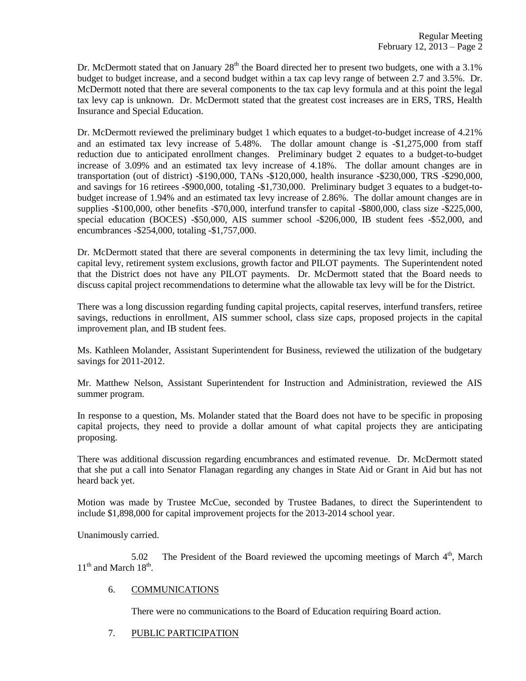Dr. McDermott stated that on January  $28<sup>th</sup>$  the Board directed her to present two budgets, one with a 3.1% budget to budget increase, and a second budget within a tax cap levy range of between 2.7 and 3.5%. Dr. McDermott noted that there are several components to the tax cap levy formula and at this point the legal tax levy cap is unknown. Dr. McDermott stated that the greatest cost increases are in ERS, TRS, Health Insurance and Special Education.

Dr. McDermott reviewed the preliminary budget 1 which equates to a budget-to-budget increase of 4.21% and an estimated tax levy increase of 5.48%. The dollar amount change is -\$1,275,000 from staff reduction due to anticipated enrollment changes. Preliminary budget 2 equates to a budget-to-budget increase of 3.09% and an estimated tax levy increase of 4.18%. The dollar amount changes are in transportation (out of district) -\$190,000, TANs -\$120,000, health insurance -\$230,000, TRS -\$290,000, and savings for 16 retirees -\$900,000, totaling -\$1,730,000. Preliminary budget 3 equates to a budget-tobudget increase of 1.94% and an estimated tax levy increase of 2.86%. The dollar amount changes are in supplies -\$100,000, other benefits -\$70,000, interfund transfer to capital -\$800,000, class size -\$225,000, special education (BOCES) -\$50,000, AIS summer school -\$206,000, IB student fees -\$52,000, and encumbrances -\$254,000, totaling -\$1,757,000.

Dr. McDermott stated that there are several components in determining the tax levy limit, including the capital levy, retirement system exclusions, growth factor and PILOT payments. The Superintendent noted that the District does not have any PILOT payments. Dr. McDermott stated that the Board needs to discuss capital project recommendations to determine what the allowable tax levy will be for the District.

There was a long discussion regarding funding capital projects, capital reserves, interfund transfers, retiree savings, reductions in enrollment, AIS summer school, class size caps, proposed projects in the capital improvement plan, and IB student fees.

Ms. Kathleen Molander, Assistant Superintendent for Business, reviewed the utilization of the budgetary savings for 2011-2012.

Mr. Matthew Nelson, Assistant Superintendent for Instruction and Administration, reviewed the AIS summer program.

In response to a question, Ms. Molander stated that the Board does not have to be specific in proposing capital projects, they need to provide a dollar amount of what capital projects they are anticipating proposing.

There was additional discussion regarding encumbrances and estimated revenue. Dr. McDermott stated that she put a call into Senator Flanagan regarding any changes in State Aid or Grant in Aid but has not heard back yet.

Motion was made by Trustee McCue, seconded by Trustee Badanes, to direct the Superintendent to include \$1,898,000 for capital improvement projects for the 2013-2014 school year.

Unanimously carried.

5.02 The President of the Board reviewed the upcoming meetings of March  $4<sup>th</sup>$ , March  $11<sup>th</sup>$  and March  $18<sup>th</sup>$ .

## 6. COMMUNICATIONS

There were no communications to the Board of Education requiring Board action.

7. PUBLIC PARTICIPATION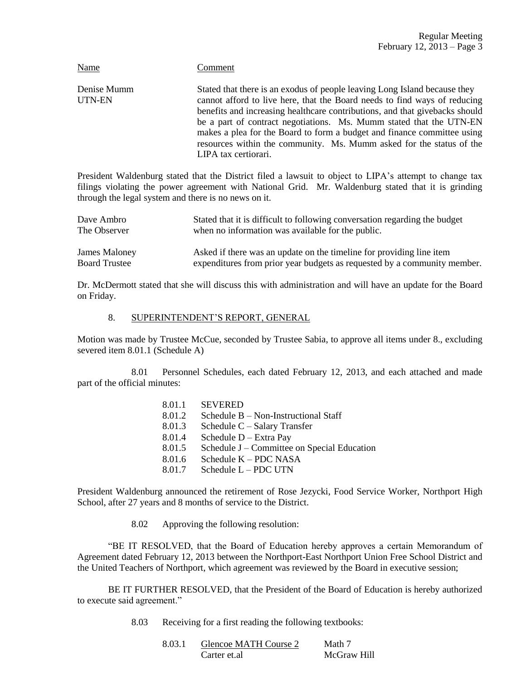| Name                  | Comment                                                                                                                                                                                                                                                                                                                                                                                                                                                                                 |
|-----------------------|-----------------------------------------------------------------------------------------------------------------------------------------------------------------------------------------------------------------------------------------------------------------------------------------------------------------------------------------------------------------------------------------------------------------------------------------------------------------------------------------|
| Denise Mumm<br>UTN-EN | Stated that there is an exodus of people leaving Long Island because they<br>cannot afford to live here, that the Board needs to find ways of reducing<br>benefits and increasing healthcare contributions, and that givebacks should<br>be a part of contract negotiations. Ms. Mumm stated that the UTN-EN<br>makes a plea for the Board to form a budget and finance committee using<br>resources within the community. Ms. Mumm asked for the status of the<br>LIPA tax certiorari. |
|                       |                                                                                                                                                                                                                                                                                                                                                                                                                                                                                         |

President Waldenburg stated that the District filed a lawsuit to object to LIPA's attempt to change tax filings violating the power agreement with National Grid. Mr. Waldenburg stated that it is grinding through the legal system and there is no news on it.

| Dave Ambro           | Stated that it is difficult to following conversation regarding the budget |
|----------------------|----------------------------------------------------------------------------|
| The Observer         | when no information was available for the public.                          |
| James Maloney        | Asked if there was an update on the timeline for providing line item       |
| <b>Board Trustee</b> | expenditures from prior year budgets as requested by a community member.   |

Dr. McDermott stated that she will discuss this with administration and will have an update for the Board on Friday.

## 8. SUPERINTENDENT'S REPORT, GENERAL

Motion was made by Trustee McCue, seconded by Trustee Sabia, to approve all items under 8., excluding severed item 8.01.1 (Schedule A)

8.01 Personnel Schedules, each dated February 12, 2013, and each attached and made part of the official minutes:

| 8.01.1 | <b>SEVERED</b>                              |
|--------|---------------------------------------------|
| 8.01.2 | Schedule $B - Non-Instructional Staff$      |
| 8.01.3 | Schedule $C -$ Salary Transfer              |
| 8.01.4 | Schedule D - Extra Pay                      |
| 8.01.5 | Schedule J – Committee on Special Education |
| 8.01.6 | Schedule K – PDC NASA                       |
| 8.01.7 | Schedule L - PDC UTN                        |

President Waldenburg announced the retirement of Rose Jezycki, Food Service Worker, Northport High School, after 27 years and 8 months of service to the District.

8.02 Approving the following resolution:

"BE IT RESOLVED, that the Board of Education hereby approves a certain Memorandum of Agreement dated February 12, 2013 between the Northport-East Northport Union Free School District and the United Teachers of Northport, which agreement was reviewed by the Board in executive session;

BE IT FURTHER RESOLVED, that the President of the Board of Education is hereby authorized to execute said agreement."

8.03 Receiving for a first reading the following textbooks:

| 8.03.1 | Glencoe MATH Course 2 | Math 7      |
|--------|-----------------------|-------------|
|        | Carter et.al          | McGraw Hill |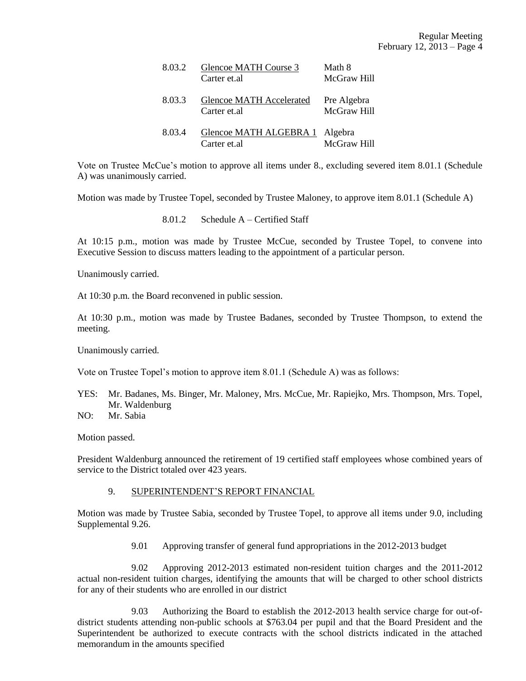| 8.03.2 | Glencoe MATH Course 3<br>Carter et al           | Math 8<br>McGraw Hill      |
|--------|-------------------------------------------------|----------------------------|
| 8.03.3 | <b>Glencoe MATH Accelerated</b><br>Carter et al | Pre Algebra<br>McGraw Hill |
| 8.03.4 | Glencoe MATH ALGEBRA 1 Algebra<br>Carter et al  | McGraw Hill                |

Vote on Trustee McCue's motion to approve all items under 8., excluding severed item 8.01.1 (Schedule A) was unanimously carried.

Motion was made by Trustee Topel, seconded by Trustee Maloney, to approve item 8.01.1 (Schedule A)

8.01.2 Schedule A – Certified Staff

At 10:15 p.m., motion was made by Trustee McCue, seconded by Trustee Topel, to convene into Executive Session to discuss matters leading to the appointment of a particular person.

Unanimously carried.

At 10:30 p.m. the Board reconvened in public session.

At 10:30 p.m., motion was made by Trustee Badanes, seconded by Trustee Thompson, to extend the meeting.

Unanimously carried.

Vote on Trustee Topel's motion to approve item 8.01.1 (Schedule A) was as follows:

- YES: Mr. Badanes, Ms. Binger, Mr. Maloney, Mrs. McCue, Mr. Rapiejko, Mrs. Thompson, Mrs. Topel, Mr. Waldenburg
- NO: Mr. Sabia

Motion passed.

President Waldenburg announced the retirement of 19 certified staff employees whose combined years of service to the District totaled over 423 years.

### 9. SUPERINTENDENT'S REPORT FINANCIAL

Motion was made by Trustee Sabia, seconded by Trustee Topel, to approve all items under 9.0, including Supplemental 9.26.

9.01 Approving transfer of general fund appropriations in the 2012-2013 budget

9.02 Approving 2012-2013 estimated non-resident tuition charges and the 2011-2012 actual non-resident tuition charges, identifying the amounts that will be charged to other school districts for any of their students who are enrolled in our district

9.03 Authorizing the Board to establish the 2012-2013 health service charge for out-ofdistrict students attending non-public schools at \$763.04 per pupil and that the Board President and the Superintendent be authorized to execute contracts with the school districts indicated in the attached memorandum in the amounts specified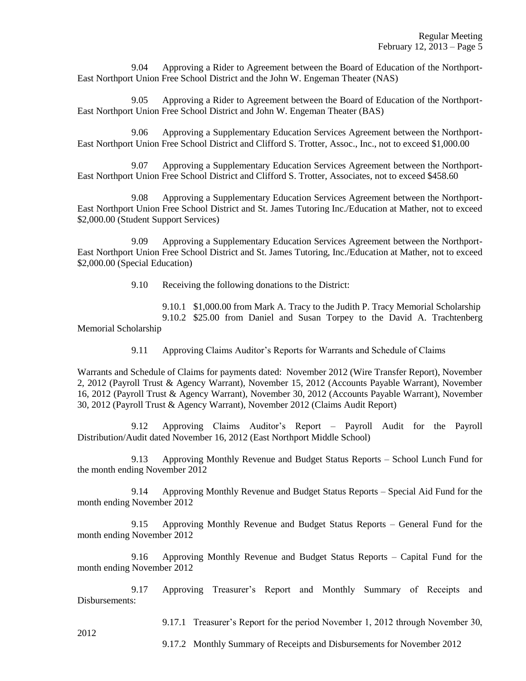9.04 Approving a Rider to Agreement between the Board of Education of the Northport-East Northport Union Free School District and the John W. Engeman Theater (NAS)

9.05 Approving a Rider to Agreement between the Board of Education of the Northport-East Northport Union Free School District and John W. Engeman Theater (BAS)

9.06 Approving a Supplementary Education Services Agreement between the Northport-East Northport Union Free School District and Clifford S. Trotter, Assoc., Inc., not to exceed \$1,000.00

9.07 Approving a Supplementary Education Services Agreement between the Northport-East Northport Union Free School District and Clifford S. Trotter, Associates, not to exceed \$458.60

9.08 Approving a Supplementary Education Services Agreement between the Northport-East Northport Union Free School District and St. James Tutoring Inc./Education at Mather, not to exceed \$2,000.00 (Student Support Services)

9.09 Approving a Supplementary Education Services Agreement between the Northport-East Northport Union Free School District and St. James Tutoring, Inc./Education at Mather, not to exceed \$2,000.00 (Special Education)

9.10 Receiving the following donations to the District:

9.10.1 \$1,000.00 from Mark A. Tracy to the Judith P. Tracy Memorial Scholarship 9.10.2 \$25.00 from Daniel and Susan Torpey to the David A. Trachtenberg Memorial Scholarship

9.11 Approving Claims Auditor's Reports for Warrants and Schedule of Claims

Warrants and Schedule of Claims for payments dated: November 2012 (Wire Transfer Report), November 2, 2012 (Payroll Trust & Agency Warrant), November 15, 2012 (Accounts Payable Warrant), November 16, 2012 (Payroll Trust & Agency Warrant), November 30, 2012 (Accounts Payable Warrant), November 30, 2012 (Payroll Trust & Agency Warrant), November 2012 (Claims Audit Report)

9.12 Approving Claims Auditor's Report – Payroll Audit for the Payroll Distribution/Audit dated November 16, 2012 (East Northport Middle School)

9.13 Approving Monthly Revenue and Budget Status Reports – School Lunch Fund for the month ending November 2012

9.14 Approving Monthly Revenue and Budget Status Reports – Special Aid Fund for the month ending November 2012

9.15 Approving Monthly Revenue and Budget Status Reports – General Fund for the month ending November 2012

9.16 Approving Monthly Revenue and Budget Status Reports – Capital Fund for the month ending November 2012

9.17 Approving Treasurer's Report and Monthly Summary of Receipts and Disbursements:

9.17.1 Treasurer's Report for the period November 1, 2012 through November 30,

2012

9.17.2 Monthly Summary of Receipts and Disbursements for November 2012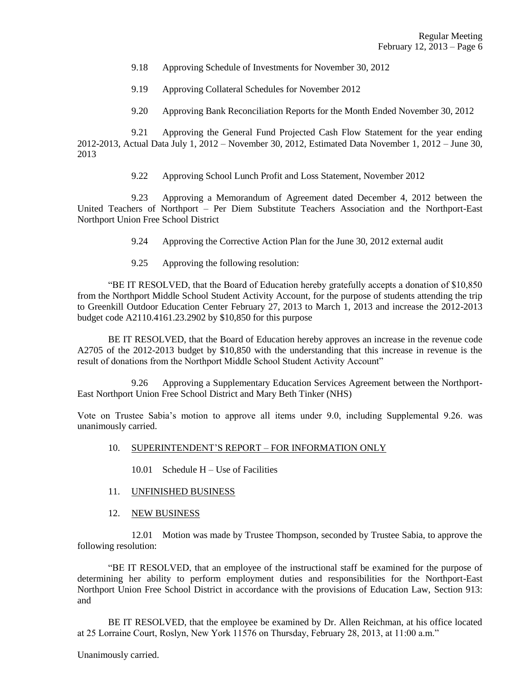- 9.18 Approving Schedule of Investments for November 30, 2012
- 9.19 Approving Collateral Schedules for November 2012
- 9.20 Approving Bank Reconciliation Reports for the Month Ended November 30, 2012

9.21 Approving the General Fund Projected Cash Flow Statement for the year ending 2012-2013, Actual Data July 1, 2012 – November 30, 2012, Estimated Data November 1, 2012 – June 30, 2013

9.22 Approving School Lunch Profit and Loss Statement, November 2012

9.23 Approving a Memorandum of Agreement dated December 4, 2012 between the United Teachers of Northport – Per Diem Substitute Teachers Association and the Northport-East Northport Union Free School District

- 9.24 Approving the Corrective Action Plan for the June 30, 2012 external audit
- 9.25 Approving the following resolution:

"BE IT RESOLVED, that the Board of Education hereby gratefully accepts a donation of \$10,850 from the Northport Middle School Student Activity Account, for the purpose of students attending the trip to Greenkill Outdoor Education Center February 27, 2013 to March 1, 2013 and increase the 2012-2013 budget code A2110.4161.23.2902 by \$10,850 for this purpose

BE IT RESOLVED, that the Board of Education hereby approves an increase in the revenue code A2705 of the 2012-2013 budget by \$10,850 with the understanding that this increase in revenue is the result of donations from the Northport Middle School Student Activity Account"

9.26 Approving a Supplementary Education Services Agreement between the Northport-East Northport Union Free School District and Mary Beth Tinker (NHS)

Vote on Trustee Sabia's motion to approve all items under 9.0, including Supplemental 9.26. was unanimously carried.

- 10. SUPERINTENDENT'S REPORT FOR INFORMATION ONLY
	- 10.01 Schedule H Use of Facilities
- 11. UNFINISHED BUSINESS
- 12. NEW BUSINESS

12.01 Motion was made by Trustee Thompson, seconded by Trustee Sabia, to approve the following resolution:

"BE IT RESOLVED, that an employee of the instructional staff be examined for the purpose of determining her ability to perform employment duties and responsibilities for the Northport-East Northport Union Free School District in accordance with the provisions of Education Law, Section 913: and

BE IT RESOLVED, that the employee be examined by Dr. Allen Reichman, at his office located at 25 Lorraine Court, Roslyn, New York 11576 on Thursday, February 28, 2013, at 11:00 a.m."

Unanimously carried.